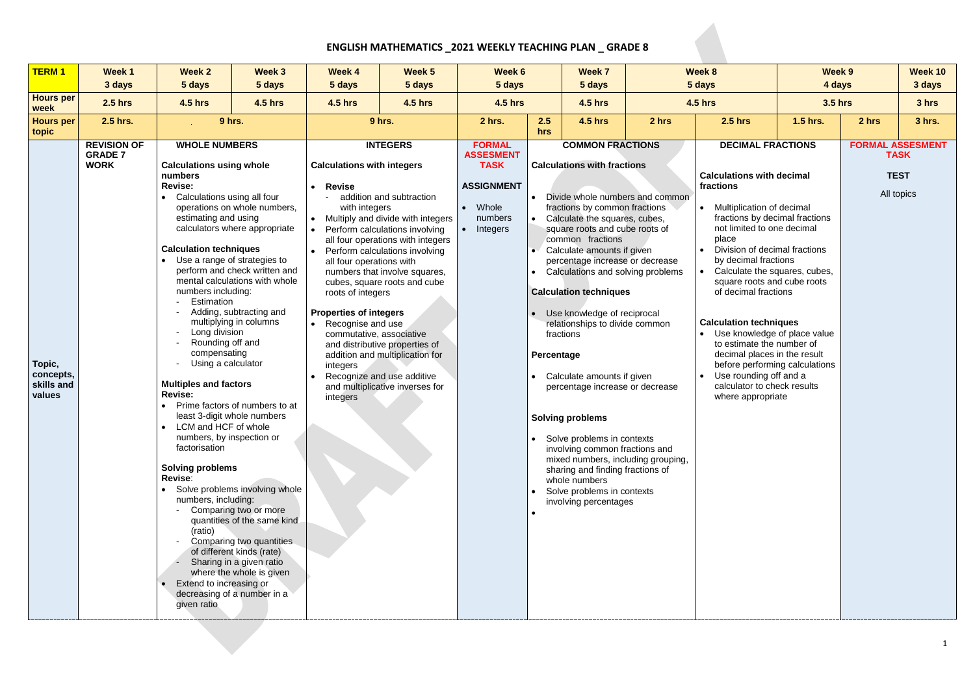## **ENGLISH MATHEMATICS \_2021 WEEKLY TEACHING PLAN \_ GRADE 8**

| <b>TERM1</b>                                | Week 1                                              | <b>Week 2</b>                                                                                                                                                                                                                                                                                                                                                                                                                                                                                                                                                               | Week 3                                                                                                                                                                                                                                                                                                                                                                                                                                                                                                                           | <b>Week 4</b>                                                                                                                                                                                                                                            | Week 5                                                                                                                                                                                                                                                                                                                                                                                           | Week 6                                                                                                    | Week 7     |                                                                                                                                                                                                                                                                                                                                                                                                                                                                                                                                                                                                                                                                                                                                                             | Week 8 |                                                                                                                                                                                                                                                                                                                                                                                                                                                                                                                                              | Week 9                         |                        | Week <sup></sup>                         |
|---------------------------------------------|-----------------------------------------------------|-----------------------------------------------------------------------------------------------------------------------------------------------------------------------------------------------------------------------------------------------------------------------------------------------------------------------------------------------------------------------------------------------------------------------------------------------------------------------------------------------------------------------------------------------------------------------------|----------------------------------------------------------------------------------------------------------------------------------------------------------------------------------------------------------------------------------------------------------------------------------------------------------------------------------------------------------------------------------------------------------------------------------------------------------------------------------------------------------------------------------|----------------------------------------------------------------------------------------------------------------------------------------------------------------------------------------------------------------------------------------------------------|--------------------------------------------------------------------------------------------------------------------------------------------------------------------------------------------------------------------------------------------------------------------------------------------------------------------------------------------------------------------------------------------------|-----------------------------------------------------------------------------------------------------------|------------|-------------------------------------------------------------------------------------------------------------------------------------------------------------------------------------------------------------------------------------------------------------------------------------------------------------------------------------------------------------------------------------------------------------------------------------------------------------------------------------------------------------------------------------------------------------------------------------------------------------------------------------------------------------------------------------------------------------------------------------------------------------|--------|----------------------------------------------------------------------------------------------------------------------------------------------------------------------------------------------------------------------------------------------------------------------------------------------------------------------------------------------------------------------------------------------------------------------------------------------------------------------------------------------------------------------------------------------|--------------------------------|------------------------|------------------------------------------|
|                                             | 3 days                                              | 5 days                                                                                                                                                                                                                                                                                                                                                                                                                                                                                                                                                                      | 5 days                                                                                                                                                                                                                                                                                                                                                                                                                                                                                                                           | 5 days                                                                                                                                                                                                                                                   | 5 days                                                                                                                                                                                                                                                                                                                                                                                           | 5 days                                                                                                    |            | 5 days                                                                                                                                                                                                                                                                                                                                                                                                                                                                                                                                                                                                                                                                                                                                                      |        | 5 days                                                                                                                                                                                                                                                                                                                                                                                                                                                                                                                                       | 4 days                         |                        | 3 day                                    |
| <b>Hours per</b><br>week                    | $2.5$ hrs                                           | <b>4.5 hrs</b>                                                                                                                                                                                                                                                                                                                                                                                                                                                                                                                                                              | <b>4.5 hrs</b>                                                                                                                                                                                                                                                                                                                                                                                                                                                                                                                   | <b>4.5 hrs</b>                                                                                                                                                                                                                                           | <b>4.5 hrs</b>                                                                                                                                                                                                                                                                                                                                                                                   | <b>4.5 hrs</b>                                                                                            |            | <b>4.5 hrs</b>                                                                                                                                                                                                                                                                                                                                                                                                                                                                                                                                                                                                                                                                                                                                              |        | <b>4.5 hrs</b>                                                                                                                                                                                                                                                                                                                                                                                                                                                                                                                               | <b>3.5 hrs</b>                 |                        | 3 hrs                                    |
| <b>Hours per</b><br>topic                   | 2.5 hrs.                                            | 9 hrs.                                                                                                                                                                                                                                                                                                                                                                                                                                                                                                                                                                      |                                                                                                                                                                                                                                                                                                                                                                                                                                                                                                                                  |                                                                                                                                                                                                                                                          | 9 hrs.                                                                                                                                                                                                                                                                                                                                                                                           |                                                                                                           | 2.5<br>hrs | <b>4.5 hrs</b>                                                                                                                                                                                                                                                                                                                                                                                                                                                                                                                                                                                                                                                                                                                                              | 2 hrs  | <b>2.5 hrs</b>                                                                                                                                                                                                                                                                                                                                                                                                                                                                                                                               | 1.5 hrs.                       | 2 hrs                  | 3 hrs                                    |
| Topic,<br>concepts,<br>skills and<br>values | <b>REVISION OF</b><br><b>GRADE 7</b><br><b>WORK</b> | <b>WHOLE NUMBERS</b><br><b>Calculations using whole</b><br>numbers<br><b>Revise:</b><br>Calculations using all four<br>estimating and using<br><b>Calculation techniques</b><br>numbers including:<br>Estimation<br>Long division<br>$\blacksquare$<br>Rounding off and<br>compensating<br>Using a calculator<br><b>Multiples and factors</b><br><b>Revise:</b><br>LCM and HCF of whole<br>$\bullet$<br>numbers, by inspection or<br>factorisation<br><b>Solving problems</b><br><b>Revise:</b><br>numbers, including:<br>(ratio)<br>Extend to increasing or<br>given ratio | operations on whole numbers,<br>calculators where appropriate<br>Use a range of strategies to<br>perform and check written and<br>mental calculations with whole<br>Adding, subtracting and<br>multiplying in columns<br>Prime factors of numbers to at<br>least 3-digit whole numbers<br>Solve problems involving whole<br>Comparing two or more<br>quantities of the same kind<br>Comparing two quantities<br>of different kinds (rate)<br>Sharing in a given ratio<br>where the whole is given<br>decreasing of a number in a | <b>Calculations with integers</b><br><b>Revise</b><br>$\bullet$<br>with integers<br>$\bullet$<br>all four operations with<br>roots of integers<br><b>Properties of integers</b><br>Recognise and use<br>commutative, associative<br>integers<br>integers | <b>INTEGERS</b><br>addition and subtraction<br>Multiply and divide with integers<br>Perform calculations involving<br>all four operations with integers<br>Perform calculations involving<br>numbers that involve squares,<br>cubes, square roots and cube<br>and distributive properties of<br>addition and multiplication for<br>Recognize and use additive<br>and multiplicative inverses for | <b>FORMAL</b><br><b>ASSESMENT</b><br><b>TASK</b><br><b>ASSIGNMENT</b><br>• Whole<br>numbers<br>• Integers | Percentage | <b>COMMON FRACTIONS</b><br><b>Calculations with fractions</b><br>Divide whole numbers and common<br>fractions by common fractions<br>Calculate the squares, cubes,<br>square roots and cube roots of<br>common fractions<br>Calculate amounts if given<br>percentage increase or decrease<br>Calculations and solving problems<br><b>Calculation techniques</b><br>Use knowledge of reciprocal<br>relationships to divide common<br>fractions<br>Calculate amounts if given<br>percentage increase or decrease<br><b>Solving problems</b><br>Solve problems in contexts<br>involving common fractions and<br>mixed numbers, including grouping,<br>sharing and finding fractions of<br>whole numbers<br>Solve problems in contexts<br>involving percentages |        | <b>DECIMAL FRACTIONS</b><br><b>Calculations with decimal</b><br>fractions<br>Multiplication of decimal<br>fractions by decimal fractions<br>not limited to one decimal<br>place<br>Division of decimal fractions<br>by decimal fractions<br>Calculate the squares, cubes,<br>square roots and cube roots<br>of decimal fractions<br><b>Calculation techniques</b><br>Use knowledge of place value<br>to estimate the number of<br>decimal places in the result<br>Use rounding off and a<br>calculator to check results<br>where appropriate | before performing calculations | <b>FORMAL ASSESMEI</b> | <b>TASK</b><br><b>TEST</b><br>All topics |

| Week 7<br>5 days                                                                                                                                                                                                                                                                                                                      |                                                                                                                                                                     | Week 8<br>5 days                                                                                                                                                                                                                                                                                                                                                                                                                                                                                                                                                                                       | Week 9<br>4 days |                                        | Week 10<br>3 days |  |  |  |
|---------------------------------------------------------------------------------------------------------------------------------------------------------------------------------------------------------------------------------------------------------------------------------------------------------------------------------------|---------------------------------------------------------------------------------------------------------------------------------------------------------------------|--------------------------------------------------------------------------------------------------------------------------------------------------------------------------------------------------------------------------------------------------------------------------------------------------------------------------------------------------------------------------------------------------------------------------------------------------------------------------------------------------------------------------------------------------------------------------------------------------------|------------------|----------------------------------------|-------------------|--|--|--|
| 4.5 hrs                                                                                                                                                                                                                                                                                                                               |                                                                                                                                                                     | <b>4.5 hrs</b>                                                                                                                                                                                                                                                                                                                                                                                                                                                                                                                                                                                         | <b>3.5 hrs</b>   |                                        | 3 hrs             |  |  |  |
| 4.5 hrs                                                                                                                                                                                                                                                                                                                               | 2 hrs                                                                                                                                                               | $2.5$ hrs                                                                                                                                                                                                                                                                                                                                                                                                                                                                                                                                                                                              | 1.5 hrs.         | 2 hrs                                  | <b>3 hrs.</b>     |  |  |  |
| <b>IMON FRACTIONS</b>                                                                                                                                                                                                                                                                                                                 |                                                                                                                                                                     | <b>DECIMAL FRACTIONS</b>                                                                                                                                                                                                                                                                                                                                                                                                                                                                                                                                                                               |                  | <b>FORMAL ASSESMENT</b><br><b>TASK</b> |                   |  |  |  |
| s with fractions<br>by common fractions<br>e the squares, cubes,<br>oots and cube roots of<br>fractions<br>e amounts if given<br>techniques<br>wledge of reciprocal<br>hips to divide common<br>e amounts if given<br>blems<br>oblems in contexts<br>and finding fractions of<br><b>umbers</b><br>oblems in contexts<br>g percentages | hole numbers and common<br>age increase or decrease<br>ions and solving problems<br>age increase or decrease<br>common fractions and<br>umbers, including grouping, | <b>Calculations with decimal</b><br>fractions<br>Multiplication of decimal<br>$\bullet$<br>fractions by decimal fractions<br>not limited to one decimal<br>place<br>Division of decimal fractions<br>$\bullet$<br>by decimal fractions<br>Calculate the squares, cubes,<br>$\bullet$<br>square roots and cube roots<br>of decimal fractions<br><b>Calculation techniques</b><br>Use knowledge of place value<br>to estimate the number of<br>decimal places in the result<br>before performing calculations<br>Use rounding off and a<br>$\bullet$<br>calculator to check results<br>where appropriate |                  | <b>TEST</b><br>All topics              |                   |  |  |  |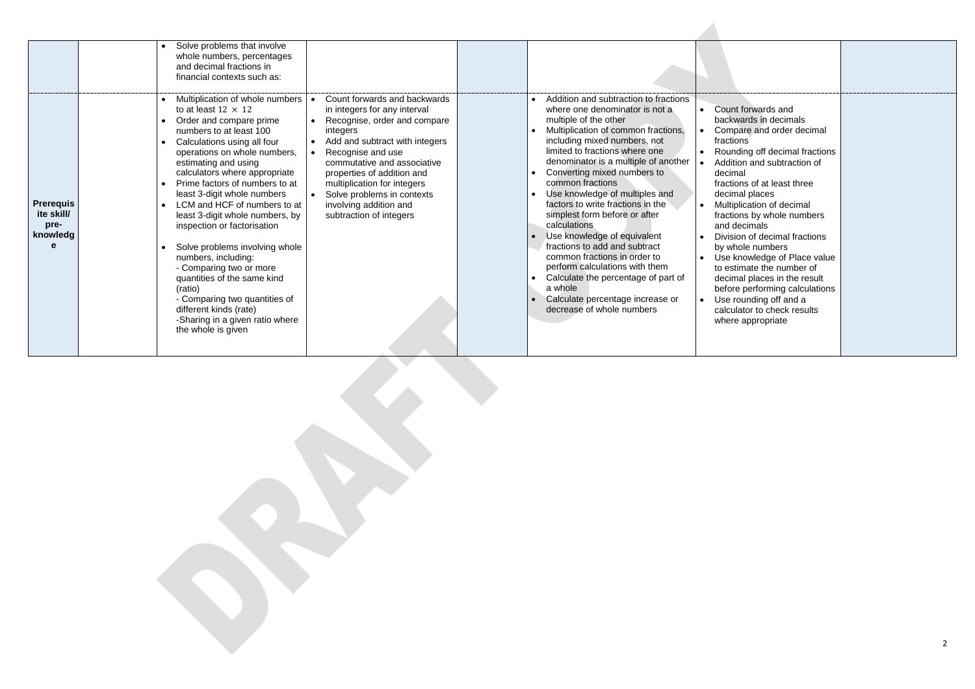|                                                    | Solve problems that involve<br>whole numbers, percentages<br>and decimal fractions in<br>financial contexts such as:                                                                                                                                                                                                                                                                                                                                                                                                                                                                                                                                               |                                                                                                                                                                                                                                                                                                                                                  |                                                                                                                                                                                                                                                                                                                                                                                                                                                                                                                                                                                                                                                                                                                                                                                                                                                                                                                                                                                                                                                                                                                                                                                                                                                      |  |
|----------------------------------------------------|--------------------------------------------------------------------------------------------------------------------------------------------------------------------------------------------------------------------------------------------------------------------------------------------------------------------------------------------------------------------------------------------------------------------------------------------------------------------------------------------------------------------------------------------------------------------------------------------------------------------------------------------------------------------|--------------------------------------------------------------------------------------------------------------------------------------------------------------------------------------------------------------------------------------------------------------------------------------------------------------------------------------------------|------------------------------------------------------------------------------------------------------------------------------------------------------------------------------------------------------------------------------------------------------------------------------------------------------------------------------------------------------------------------------------------------------------------------------------------------------------------------------------------------------------------------------------------------------------------------------------------------------------------------------------------------------------------------------------------------------------------------------------------------------------------------------------------------------------------------------------------------------------------------------------------------------------------------------------------------------------------------------------------------------------------------------------------------------------------------------------------------------------------------------------------------------------------------------------------------------------------------------------------------------|--|
| <b>Prerequis</b><br>ite skill/<br>pre-<br>knowledg | Multiplication of whole numbers  <br>to at least $12 \times 12$<br>Order and compare prime<br>numbers to at least 100<br>Calculations using all four<br>operations on whole numbers,<br>estimating and using<br>calculators where appropriate<br>Prime factors of numbers to at<br>least 3-digit whole numbers<br>LCM and HCF of numbers to at<br>least 3-digit whole numbers, by<br>inspection or factorisation<br>Solve problems involving whole<br>numbers, including:<br>- Comparing two or more<br>quantities of the same kind<br>(ratio)<br>- Comparing two quantities of<br>different kinds (rate)<br>-Sharing in a given ratio where<br>the whole is given | Count forwards and backwards<br>in integers for any interval<br>Recognise, order and compare<br>integers<br>• Add and subtract with integers<br>Recognise and use<br>commutative and associative<br>properties of addition and<br>multiplication for integers<br>Solve problems in contexts<br>involving addition and<br>subtraction of integers | Addition and subtraction to fractions<br>Count forwards and<br>where one denominator is not a<br>backwards in decimals<br>multiple of the other<br>Multiplication of common fractions,<br>Compare and order decimal<br>including mixed numbers, not<br>fractions<br>limited to fractions where one<br>Rounding off decimal fractions<br>denominator is a multiple of another<br>Addition and subtraction of<br>Converting mixed numbers to<br>decimal<br>common fractions<br>fractions of at least three<br>Use knowledge of multiples and<br>decimal places<br>factors to write fractions in the<br>Multiplication of decimal<br>simplest form before or after<br>fractions by whole numbers<br>calculations<br>and decimals<br>Use knowledge of equivalent<br>Division of decimal fractions<br>fractions to add and subtract<br>by whole numbers<br>common fractions in order to<br>Use knowledge of Place value<br>perform calculations with them<br>to estimate the number of<br>Calculate the percentage of part of<br>decimal places in the result<br>a whole<br>before performing calculations<br>Calculate percentage increase or<br>Use rounding off and a<br>decrease of whole numbers<br>calculator to check results<br>where appropriate |  |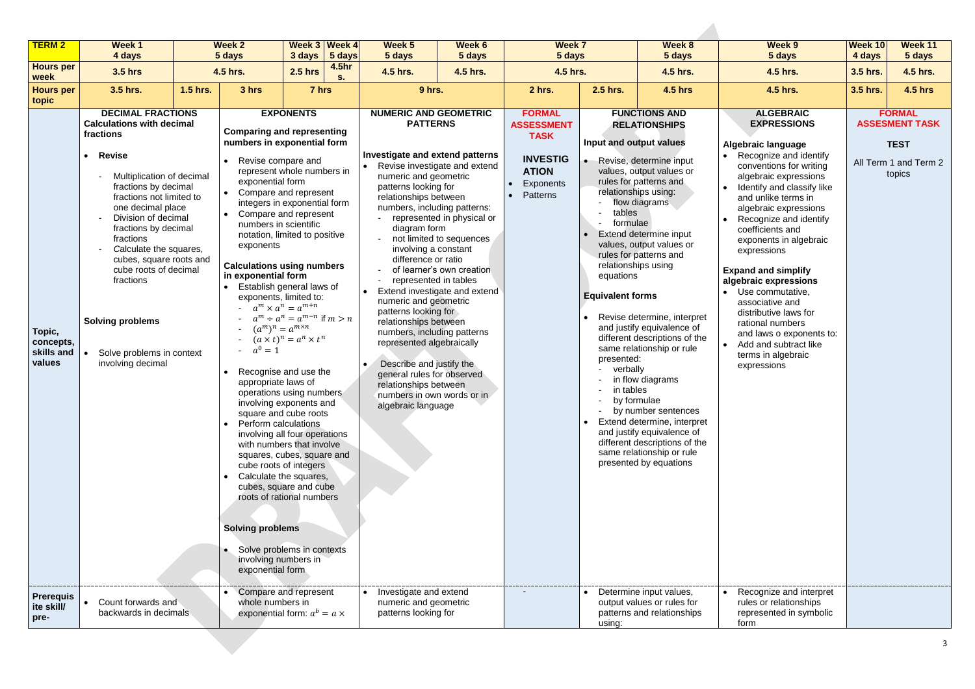| <b>TERM 2</b>                               | Week <sub>1</sub><br>4 days                                                                                                                                                                                                                                                                                                                                                                                                     |                            | <b>Week 2</b><br>5 days                                                                                                                                                                                                                                                                                                                                                                              | Week 3 Week 4<br>5 days<br>3 days                                                                                                                                                                                                                                                                                                                                                                                                                                                                                                                                                                                                                                                  | Week 5<br>5 days                                                                                                                                                                                                                                                                                                                                                                                                                                                                                                                                                                                                                          | Week 6<br>5 days                                                                                                     | Week 7<br>5 days                                                                                                     |                                                                                                                                                                                            | Week 8<br>5 days                                                                                                                                                                                                                                                                                                                                                                                                                                                                                                                                                                       | Week 9<br>5 days                                                                                                                                                                                                                                                                                                                                                                                                                                                                                                                                                                       | Week 10<br>4 days | Week 11<br>5 days                                                                        |
|---------------------------------------------|---------------------------------------------------------------------------------------------------------------------------------------------------------------------------------------------------------------------------------------------------------------------------------------------------------------------------------------------------------------------------------------------------------------------------------|----------------------------|------------------------------------------------------------------------------------------------------------------------------------------------------------------------------------------------------------------------------------------------------------------------------------------------------------------------------------------------------------------------------------------------------|------------------------------------------------------------------------------------------------------------------------------------------------------------------------------------------------------------------------------------------------------------------------------------------------------------------------------------------------------------------------------------------------------------------------------------------------------------------------------------------------------------------------------------------------------------------------------------------------------------------------------------------------------------------------------------|-------------------------------------------------------------------------------------------------------------------------------------------------------------------------------------------------------------------------------------------------------------------------------------------------------------------------------------------------------------------------------------------------------------------------------------------------------------------------------------------------------------------------------------------------------------------------------------------------------------------------------------------|----------------------------------------------------------------------------------------------------------------------|----------------------------------------------------------------------------------------------------------------------|--------------------------------------------------------------------------------------------------------------------------------------------------------------------------------------------|----------------------------------------------------------------------------------------------------------------------------------------------------------------------------------------------------------------------------------------------------------------------------------------------------------------------------------------------------------------------------------------------------------------------------------------------------------------------------------------------------------------------------------------------------------------------------------------|----------------------------------------------------------------------------------------------------------------------------------------------------------------------------------------------------------------------------------------------------------------------------------------------------------------------------------------------------------------------------------------------------------------------------------------------------------------------------------------------------------------------------------------------------------------------------------------|-------------------|------------------------------------------------------------------------------------------|
| <b>Hours per</b><br>week                    | <b>3.5 hrs</b>                                                                                                                                                                                                                                                                                                                                                                                                                  |                            | 4.5 hrs.                                                                                                                                                                                                                                                                                                                                                                                             | 4.5hr<br><b>2.5 hrs</b><br>S.                                                                                                                                                                                                                                                                                                                                                                                                                                                                                                                                                                                                                                                      | 4.5 hrs.                                                                                                                                                                                                                                                                                                                                                                                                                                                                                                                                                                                                                                  | 4.5 hrs.                                                                                                             | 4.5 hrs.                                                                                                             |                                                                                                                                                                                            | 4.5 hrs.                                                                                                                                                                                                                                                                                                                                                                                                                                                                                                                                                                               | 4.5 hrs.                                                                                                                                                                                                                                                                                                                                                                                                                                                                                                                                                                               | 3.5 hrs.          | 4.5 hrs.                                                                                 |
| <b>Hours per</b><br>topic                   | 3.5 hrs.                                                                                                                                                                                                                                                                                                                                                                                                                        | 1.5 hrs.<br>3 hrs<br>7 hrs |                                                                                                                                                                                                                                                                                                                                                                                                      | 9 hrs.                                                                                                                                                                                                                                                                                                                                                                                                                                                                                                                                                                                                                                                                             |                                                                                                                                                                                                                                                                                                                                                                                                                                                                                                                                                                                                                                           | 2 hrs.                                                                                                               | 2.5 hrs.<br><b>4.5 hrs</b>                                                                                           |                                                                                                                                                                                            | 4.5 hrs.                                                                                                                                                                                                                                                                                                                                                                                                                                                                                                                                                                               | 3.5 hrs.                                                                                                                                                                                                                                                                                                                                                                                                                                                                                                                                                                               | <b>4.5 hrs</b>    |                                                                                          |
| Topic,<br>concepts,<br>skills and<br>values | <b>DECIMAL FRACTIONS</b><br><b>Calculations with decimal</b><br>fractions<br>• Revise<br>Multiplication of decimal<br>fractions by decimal<br>fractions not limited to<br>one decimal place<br>Division of decimal<br>fractions by decimal<br>fractions<br>Calculate the squares,<br>cubes, square roots and<br>cube roots of decimal<br>fractions<br><b>Solving problems</b><br>Solve problems in context<br>involving decimal |                            | Revise compare and<br>exponential form<br>• Compare and represent<br>numbers in scientific<br>exponents<br>in exponential form<br>exponents, limited to:<br>$(a^m)^n = a^{m \times n}$<br>$a^0=1$<br>appropriate laws of<br>square and cube roots<br>Perform calculations<br>cube roots of integers<br>Calculate the squares,<br><b>Solving problems</b><br>involving numbers in<br>exponential form | <b>EXPONENTS</b><br><b>Comparing and representing</b><br>numbers in exponential form<br>represent whole numbers in<br>integers in exponential form<br>Compare and represent<br>notation, limited to positive<br><b>Calculations using numbers</b><br>Establish general laws of<br>$a^m \times a^n = a^{m+n}$<br>$a^m \div a^n = a^{m-n}$ if $m > n$<br>$(a \times t)^n = a^n \times t^n$<br>Recognise and use the<br>operations using numbers<br>involving exponents and<br>involving all four operations<br>with numbers that involve<br>squares, cubes, square and<br>cubes, square and cube<br>roots of rational numbers<br>Solve problems in contexts<br>Compare and represent | <b>NUMERIC AND GEOMETRIC</b><br><b>PATTERNS</b><br>Investigate and extend patterns<br>Revise investigate and extend<br>numeric and geometric<br>patterns looking for<br>relationships between<br>numbers, including patterns:<br>diagram form<br>involving a constant<br>difference or ratio<br>represented in tables<br>numeric and geometric<br>patterns looking for<br>relationships between<br>numbers, including patterns<br>represented algebraically<br>Describe and justify the<br>$\bullet$<br>general rules for observed<br>relationships between<br>numbers in own words or in<br>algebraic language<br>Investigate and extend | represented in physical or<br>not limited to sequences<br>of learner's own creation<br>Extend investigate and extend | <b>FORMAL</b><br><b>ASSESSMENT</b><br><b>TASK</b><br><b>INVESTIG</b><br><b>ATION</b><br>Exponents<br><b>Patterns</b> | Input and output values<br>relationships using:<br>tables<br>formulae<br>relationships using<br>equations<br><b>Equivalent forms</b><br>presented:<br>verbally<br>in tables<br>by formulae | <b>FUNCTIONS AND</b><br><b>RELATIONSHIPS</b><br>Revise, determine input<br>values, output values or<br>rules for patterns and<br>flow diagrams<br>Extend determine input<br>values, output values or<br>rules for patterns and<br>Revise determine, interpret<br>and justify equivalence of<br>different descriptions of the<br>same relationship or rule<br>- in flow diagrams<br>by number sentences<br>Extend determine, interpret<br>and justify equivalence of<br>different descriptions of the<br>same relationship or rule<br>presented by equations<br>Determine input values, | <b>ALGEBRAIC</b><br><b>EXPRESSIONS</b><br><b>Algebraic language</b><br>Recognize and identify<br>conventions for writing<br>algebraic expressions<br>Identify and classify like<br>and unlike terms in<br>algebraic expressions<br>Recognize and identify<br>coefficients and<br>exponents in algebraic<br>expressions<br><b>Expand and simplify</b><br>algebraic expressions<br>Use commutative,<br>associative and<br>distributive laws for<br>rational numbers<br>and laws o exponents to:<br>Add and subtract like<br>terms in algebraic<br>expressions<br>Recognize and interpret |                   | <b>FORMAL</b><br><b>ASSESMENT TASK</b><br><b>TEST</b><br>All Term 1 and Term 2<br>topics |
| <b>Prerequis</b><br>ite skill/<br>pre-      | Count forwards and<br>$\bullet$<br>backwards in decimals                                                                                                                                                                                                                                                                                                                                                                        |                            | whole numbers in                                                                                                                                                                                                                                                                                                                                                                                     | exponential form: $a^b = a \times$                                                                                                                                                                                                                                                                                                                                                                                                                                                                                                                                                                                                                                                 | numeric and geometric<br>patterns looking for                                                                                                                                                                                                                                                                                                                                                                                                                                                                                                                                                                                             |                                                                                                                      |                                                                                                                      | using:                                                                                                                                                                                     | output values or rules for<br>patterns and relationships                                                                                                                                                                                                                                                                                                                                                                                                                                                                                                                               | rules or relationships<br>represented in symbolic<br>form                                                                                                                                                                                                                                                                                                                                                                                                                                                                                                                              |                   |                                                                                          |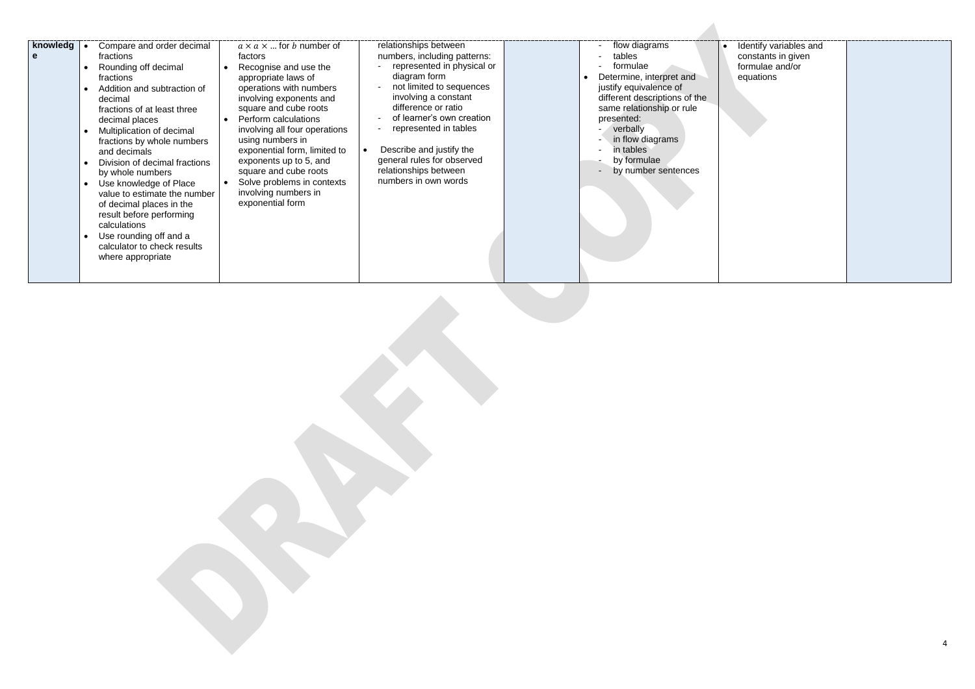| Identify variables and<br>constants in given<br>formulae and/or<br>equations |  |
|------------------------------------------------------------------------------|--|
|                                                                              |  |
|                                                                              |  |
|                                                                              |  |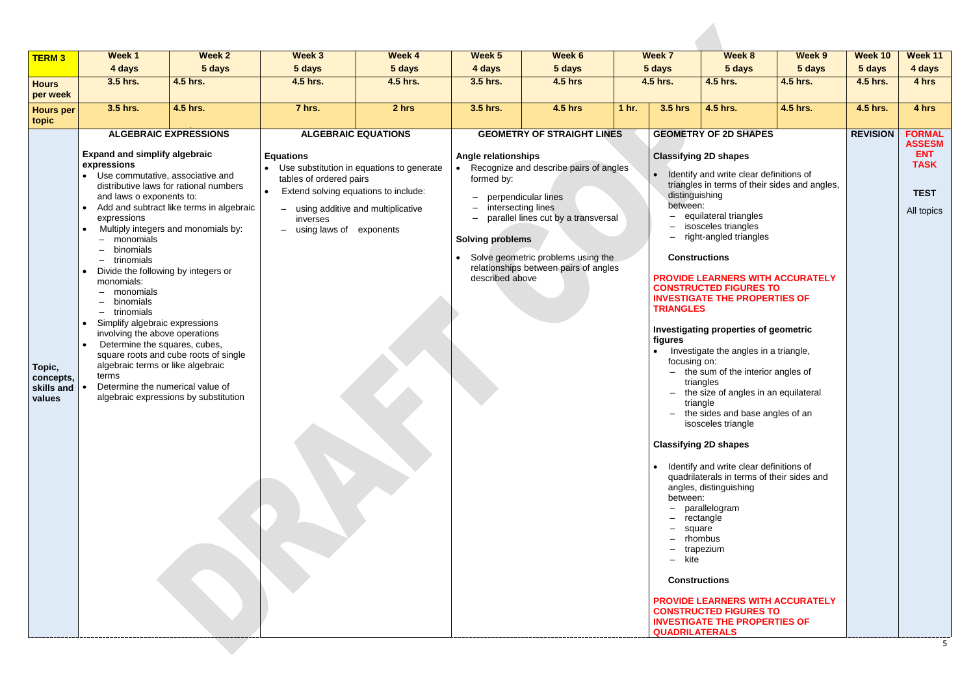| ek 7                        | Week 8                                                                                   | Week 9   | Week 10         | Week 11                        |  |  |  |  |
|-----------------------------|------------------------------------------------------------------------------------------|----------|-----------------|--------------------------------|--|--|--|--|
| days                        | 5 days                                                                                   | 5 days   | 5 days          | 4 days                         |  |  |  |  |
| hrs.                        | 4.5 hrs.                                                                                 | 4.5 hrs. | 4.5 hrs.        | 4 hrs                          |  |  |  |  |
|                             |                                                                                          |          |                 |                                |  |  |  |  |
| <b>3.5 hrs</b>              | 4.5 hrs.                                                                                 | 4.5 hrs. | 4.5 hrs.        | 4 hrs                          |  |  |  |  |
|                             | <b>GEOMETRY OF 2D SHAPES</b>                                                             |          | <b>REVISION</b> | <b>FORMAL</b><br><b>ASSESM</b> |  |  |  |  |
|                             | <b>Classifying 2D shapes</b>                                                             |          |                 | <b>ENT</b><br><b>TASK</b>      |  |  |  |  |
| $\bullet$<br>distinguishing | Identify and write clear definitions of<br>triangles in terms of their sides and angles, |          |                 | <b>TEST</b>                    |  |  |  |  |
| between:                    |                                                                                          |          |                 |                                |  |  |  |  |
|                             | equilateral triangles<br>- isosceles triangles                                           |          |                 | All topics                     |  |  |  |  |
| $\overline{\phantom{0}}$    | right-angled triangles                                                                   |          |                 |                                |  |  |  |  |
| <b>Constructions</b>        |                                                                                          |          |                 |                                |  |  |  |  |
|                             | <b>PROVIDE LEARNERS WITH ACCURATELY</b>                                                  |          |                 |                                |  |  |  |  |
|                             | <b>CONSTRUCTED FIGURES TO</b><br><b>INVESTIGATE THE PROPERTIES OF</b>                    |          |                 |                                |  |  |  |  |
| <b>TRIANGLES</b>            |                                                                                          |          |                 |                                |  |  |  |  |
|                             | <b>Investigating properties of geometric</b>                                             |          |                 |                                |  |  |  |  |
| figures                     | Investigate the angles in a triangle,                                                    |          |                 |                                |  |  |  |  |
| focusing on:                |                                                                                          |          |                 |                                |  |  |  |  |
|                             | the sum of the interior angles of<br>triangles                                           |          |                 |                                |  |  |  |  |
| -<br>triangle               | the size of angles in an equilateral                                                     |          |                 |                                |  |  |  |  |
|                             | the sides and base angles of an                                                          |          |                 |                                |  |  |  |  |
|                             | isosceles triangle                                                                       |          |                 |                                |  |  |  |  |
|                             | <b>Classifying 2D shapes</b>                                                             |          |                 |                                |  |  |  |  |
| $\bullet$                   | Identify and write clear definitions of                                                  |          |                 |                                |  |  |  |  |
|                             | quadrilaterals in terms of their sides and<br>angles, distinguishing                     |          |                 |                                |  |  |  |  |
| between:                    |                                                                                          |          |                 |                                |  |  |  |  |
|                             | parallelogram<br>rectangle                                                               |          |                 |                                |  |  |  |  |
| square                      |                                                                                          |          |                 |                                |  |  |  |  |
| $\overline{\phantom{0}}$    | rhombus<br>trapezium                                                                     |          |                 |                                |  |  |  |  |
| kite                        |                                                                                          |          |                 |                                |  |  |  |  |
| <b>Constructions</b>        |                                                                                          |          |                 |                                |  |  |  |  |
|                             | <b>PROVIDE LEARNERS WITH ACCURATELY</b>                                                  |          |                 |                                |  |  |  |  |
|                             | <b>CONSTRUCTED FIGURES TO</b><br><b>INVESTIGATE THE PROPERTIES OF</b>                    |          |                 |                                |  |  |  |  |
| <b>QUADRILATERALS</b>       |                                                                                          |          |                 |                                |  |  |  |  |
|                             |                                                                                          |          |                 | 5                              |  |  |  |  |

| <b>TERM3</b>                                | <b>Week 1</b>                                                                                                                                                                                                                                                                                                                                                                                                                                                                                           | Week 2                                                                                                                                                                                                                                      | Week 3                                                                                                                                                              | <b>Week 4</b>                                                           | Week 5                                                                          | Week 6                                                                                                                                                                                                                                         |       | <b>Week 7</b>                                                                                                                                                                                                                                              | Week 8                                                                                                                                                                                                                                                                                                                                                                                                                                                                                                                                                                                                                                                                                                                                                                                                                | Week 9                                                                                   | Week 10         | Week <sup></sup>                                                                    |
|---------------------------------------------|---------------------------------------------------------------------------------------------------------------------------------------------------------------------------------------------------------------------------------------------------------------------------------------------------------------------------------------------------------------------------------------------------------------------------------------------------------------------------------------------------------|---------------------------------------------------------------------------------------------------------------------------------------------------------------------------------------------------------------------------------------------|---------------------------------------------------------------------------------------------------------------------------------------------------------------------|-------------------------------------------------------------------------|---------------------------------------------------------------------------------|------------------------------------------------------------------------------------------------------------------------------------------------------------------------------------------------------------------------------------------------|-------|------------------------------------------------------------------------------------------------------------------------------------------------------------------------------------------------------------------------------------------------------------|-----------------------------------------------------------------------------------------------------------------------------------------------------------------------------------------------------------------------------------------------------------------------------------------------------------------------------------------------------------------------------------------------------------------------------------------------------------------------------------------------------------------------------------------------------------------------------------------------------------------------------------------------------------------------------------------------------------------------------------------------------------------------------------------------------------------------|------------------------------------------------------------------------------------------|-----------------|-------------------------------------------------------------------------------------|
|                                             | 4 days                                                                                                                                                                                                                                                                                                                                                                                                                                                                                                  | 5 days                                                                                                                                                                                                                                      | 5 days                                                                                                                                                              | 5 days                                                                  | 4 days                                                                          | 5 days                                                                                                                                                                                                                                         |       | 5 days                                                                                                                                                                                                                                                     | 5 days                                                                                                                                                                                                                                                                                                                                                                                                                                                                                                                                                                                                                                                                                                                                                                                                                | 5 days                                                                                   | 5 days          | 4 day                                                                               |
| <b>Hours</b><br>per week                    | 3.5 hrs.                                                                                                                                                                                                                                                                                                                                                                                                                                                                                                | 4.5 hrs.                                                                                                                                                                                                                                    | 4.5 hrs.                                                                                                                                                            | 4.5 hrs.                                                                | 3.5 hrs.                                                                        | <b>4.5 hrs</b>                                                                                                                                                                                                                                 |       | 4.5 hrs.                                                                                                                                                                                                                                                   | 4.5 hrs.                                                                                                                                                                                                                                                                                                                                                                                                                                                                                                                                                                                                                                                                                                                                                                                                              | 4.5 hrs.                                                                                 | 4.5 hrs.        | 4 hrs                                                                               |
| <b>Hours per</b><br>topic                   | 3.5 hrs.                                                                                                                                                                                                                                                                                                                                                                                                                                                                                                | 4.5 hrs.                                                                                                                                                                                                                                    | 7 hrs.                                                                                                                                                              | 2 hrs                                                                   | 3.5 hrs.                                                                        | <b>4.5 hrs</b>                                                                                                                                                                                                                                 | 1 hr. | <b>3.5 hrs</b>                                                                                                                                                                                                                                             | 4.5 hrs.                                                                                                                                                                                                                                                                                                                                                                                                                                                                                                                                                                                                                                                                                                                                                                                                              | 4.5 hrs.                                                                                 | 4.5 hrs.        | 4 hrs                                                                               |
| Topic,<br>concepts,<br>skills and<br>values | <b>Expand and simplify algebraic</b><br>expressions<br>Use commutative, associative and<br>$\bullet$<br>and laws o exponents to:<br>expressions<br>monomials<br>binomials<br>trinomials<br>$\overline{\phantom{0}}$<br>Divide the following by integers or<br>monomials:<br>monomials<br>binomials<br>trinomials<br>Simplify algebraic expressions<br>involving the above operations<br>Determine the squares, cubes,<br>algebraic terms or like algebraic<br>terms<br>Determine the numerical value of | <b>ALGEBRAIC EXPRESSIONS</b><br>distributive laws for rational numbers<br>Add and subtract like terms in algebraic<br>Multiply integers and monomials by:<br>square roots and cube roots of single<br>algebraic expressions by substitution | <b>Equations</b><br>tables of ordered pairs<br>Extend solving equations to include:<br>- using additive and multiplicative<br>inverses<br>- using laws of exponents | <b>ALGEBRAIC EQUATIONS</b><br>Use substitution in equations to generate | Angle relationships<br>formed by:<br><b>Solving problems</b><br>described above | <b>GEOMETRY OF STRAIGHT LINES</b><br>Recognize and describe pairs of angles<br>perpendicular lines<br>intersecting lines<br>parallel lines cut by a transversal<br>Solve geometric problems using the<br>relationships between pairs of angles |       | distinguishing<br>between:<br>$-$<br>$\overline{\phantom{0}}$<br><b>Constructions</b><br><b>TRIANGLES</b><br>figures<br>focusing on:<br>between:<br>- rectangle<br>square<br>$-$<br>- trapezium<br>- kite<br><b>Constructions</b><br><b>QUADRILATERALS</b> | <b>GEOMETRY OF 2D SHAPES</b><br><b>Classifying 2D shapes</b><br>Identify and write clear definitions of<br>equilateral triangles<br>isosceles triangles<br>right-angled triangles<br>PROVIDE LEARNERS WITH ACCURATELY<br><b>CONSTRUCTED FIGURES TO</b><br><b>INVESTIGATE THE PROPERTIES OF</b><br>Investigating properties of geometric<br>Investigate the angles in a triangle,<br>$-$ the sum of the interior angles of<br>triangles<br>$-$ the size of angles in an equilateral<br>triangle<br>$-$ the sides and base angles of an<br>isosceles triangle<br><b>Classifying 2D shapes</b><br>Identify and write clear definitions of<br>quadrilaterals in terms of their sides and<br>angles, distinguishing<br>- parallelogram<br>rhombus<br><b>CONSTRUCTED FIGURES TO</b><br><b>INVESTIGATE THE PROPERTIES OF</b> | triangles in terms of their sides and angles,<br><b>PROVIDE LEARNERS WITH ACCURATELY</b> | <b>REVISION</b> | <b>FORM</b><br><b>ASSES</b><br><b>ENT</b><br><b>TASK</b><br><b>TEST</b><br>All topi |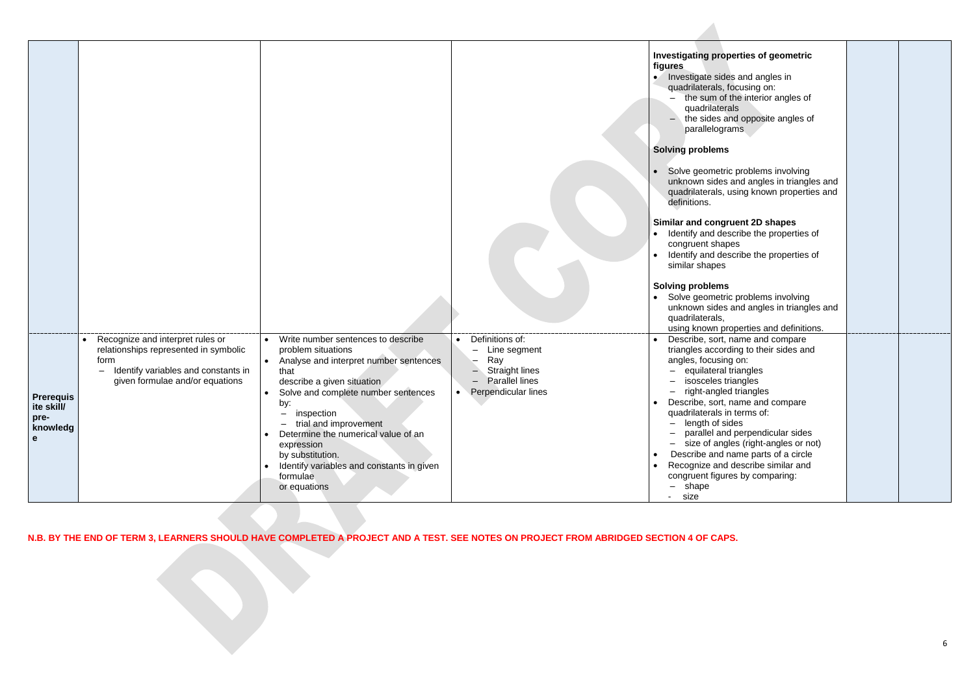| <b>Investigating properties of geometric</b><br>figures<br>• Investigate sides and angles in<br>quadrilaterals, focusing on:<br>- the sum of the interior angles of<br>quadrilaterals<br>the sides and opposite angles of<br>parallelograms<br><b>Solving problems</b><br>Solve geometric problems involving<br>unknown sides and angles in triangles and<br>quadrilaterals, using known properties and<br>definitions.<br>Similar and congruent 2D shapes<br>Identify and describe the properties of<br>congruent shapes<br>Identify and describe the properties of<br>similar shapes<br><b>Solving problems</b><br>Solve geometric problems involving<br>unknown sides and angles in triangles and<br>quadrilaterals,<br>using known properties and definitions.<br>Definitions of:<br>Recognize and interpret rules or<br>Write number sentences to describe<br>Describe, sort, name and compare<br>$\bullet$<br>relationships represented in symbolic<br>problem situations<br>triangles according to their sides and<br>Line segment<br>Ray<br>Analyse and interpret number sentences<br>angles, focusing on:<br>form<br><b>Straight lines</b><br>Identify variables and constants in<br>equilateral triangles<br>that<br><b>Parallel lines</b><br>given formulae and/or equations<br>isosceles triangles<br>describe a given situation<br>- right-angled triangles<br>Perpendicular lines<br>Solve and complete number sentences<br><b>Prerequis</b><br>Describe, sort, name and compare<br>by:<br>$\bullet$<br>ite skill/<br>quadrilaterals in terms of:<br>inspection<br>$\overline{\phantom{0}}$<br>pre-<br>- length of sides<br>- trial and improvement<br>knowledg<br>parallel and perpendicular sides<br>Determine the numerical value of an<br>$\mathbf{e}$<br>- size of angles (right-angles or not)<br>expression<br>Describe and name parts of a circle<br>by substitution.<br>Recognize and describe similar and<br>Identify variables and constants in given<br>congruent figures by comparing:<br>formulae<br>- shape |              |  |  |
|------------------------------------------------------------------------------------------------------------------------------------------------------------------------------------------------------------------------------------------------------------------------------------------------------------------------------------------------------------------------------------------------------------------------------------------------------------------------------------------------------------------------------------------------------------------------------------------------------------------------------------------------------------------------------------------------------------------------------------------------------------------------------------------------------------------------------------------------------------------------------------------------------------------------------------------------------------------------------------------------------------------------------------------------------------------------------------------------------------------------------------------------------------------------------------------------------------------------------------------------------------------------------------------------------------------------------------------------------------------------------------------------------------------------------------------------------------------------------------------------------------------------------------------------------------------------------------------------------------------------------------------------------------------------------------------------------------------------------------------------------------------------------------------------------------------------------------------------------------------------------------------------------------------------------------------------------------------------------------------------------------------------------------------|--------------|--|--|
|                                                                                                                                                                                                                                                                                                                                                                                                                                                                                                                                                                                                                                                                                                                                                                                                                                                                                                                                                                                                                                                                                                                                                                                                                                                                                                                                                                                                                                                                                                                                                                                                                                                                                                                                                                                                                                                                                                                                                                                                                                          |              |  |  |
|                                                                                                                                                                                                                                                                                                                                                                                                                                                                                                                                                                                                                                                                                                                                                                                                                                                                                                                                                                                                                                                                                                                                                                                                                                                                                                                                                                                                                                                                                                                                                                                                                                                                                                                                                                                                                                                                                                                                                                                                                                          |              |  |  |
|                                                                                                                                                                                                                                                                                                                                                                                                                                                                                                                                                                                                                                                                                                                                                                                                                                                                                                                                                                                                                                                                                                                                                                                                                                                                                                                                                                                                                                                                                                                                                                                                                                                                                                                                                                                                                                                                                                                                                                                                                                          |              |  |  |
|                                                                                                                                                                                                                                                                                                                                                                                                                                                                                                                                                                                                                                                                                                                                                                                                                                                                                                                                                                                                                                                                                                                                                                                                                                                                                                                                                                                                                                                                                                                                                                                                                                                                                                                                                                                                                                                                                                                                                                                                                                          |              |  |  |
|                                                                                                                                                                                                                                                                                                                                                                                                                                                                                                                                                                                                                                                                                                                                                                                                                                                                                                                                                                                                                                                                                                                                                                                                                                                                                                                                                                                                                                                                                                                                                                                                                                                                                                                                                                                                                                                                                                                                                                                                                                          |              |  |  |
|                                                                                                                                                                                                                                                                                                                                                                                                                                                                                                                                                                                                                                                                                                                                                                                                                                                                                                                                                                                                                                                                                                                                                                                                                                                                                                                                                                                                                                                                                                                                                                                                                                                                                                                                                                                                                                                                                                                                                                                                                                          |              |  |  |
|                                                                                                                                                                                                                                                                                                                                                                                                                                                                                                                                                                                                                                                                                                                                                                                                                                                                                                                                                                                                                                                                                                                                                                                                                                                                                                                                                                                                                                                                                                                                                                                                                                                                                                                                                                                                                                                                                                                                                                                                                                          | or equations |  |  |

**N.B. BY THE END OF TERM 3, LEARNERS SHOULD HAVE COMPLETED A PROJECT AND A TEST. SEE NOTES ON PROJECT FROM ABRIDGED SECTION 4 OF CAPS.**